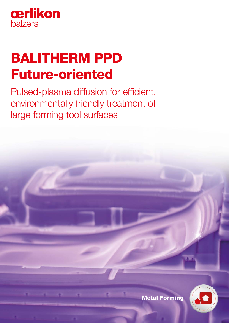

# BALITHERM PPD Future-oriented

Pulsed-plasma diffusion for efficient, environmentally friendly treatment of large forming tool surfaces



Metal Forming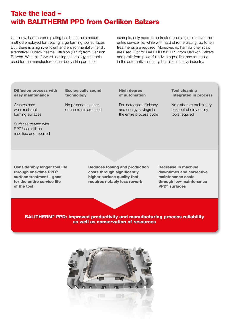# Take the lead – with BALITHERM PPD from Oerlikon Balzers

Until now, hard chrome plating has been the standard method employed for treating large forming tool surfaces. But, there is a highly-efficient and environmentally-friendly alternative: Pulsed-Plasma Diffusion (PPD®) from Oerlikon Balzers. With this forward-looking technology, the tools used for the manufacture of car body skin parts, for

example, only need to be treated one single time over their entire service life, while with hard chrome plating, up to ten treatments are required. Moreover, no harmful chemicals are used. Opt for BALITHERM® PPD from Oerlikon Balzers and profit from powerful advantages, first and foremost in the automotive industry, but also in heavy industry.

Diffusion process with easy maintenance

### Ecologically sound technology

Creates hard, wear resistant forming surfaces No poisonous gases or chemicals are used

### **High degree** of automation

For increased efficiency and energy savings in the entire process cycle

### Tool cleaning integrated in process

No elaborate preliminary bakeout of dirty or oily tools required

Surfaces treated with PPD® can still be modified and repaired

Considerably longer tool life through one-time PPD® surface treatment – good for the entire service life of the tool

Reduces tooling and production costs through significantly higher surface quality that requires notably less rework

Decrease in machine downtimes and corrective maintenance costs through low-maintenance PPD® surfaces

BALITHERM® PPD: Improved productivity and manufacturing process reliability as well as conservation of resources

PPD®

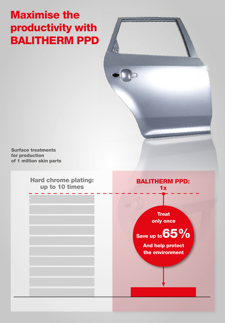# Maximise the productivity with BALITHERM PPD

Surface treatments for production of 1 million skin parts

> Hard chrome plating: up to 10 times

### BALITHERM PPD:  $1x$

**Treat** only once

Save up to  $65\%$ 

And help protect the environment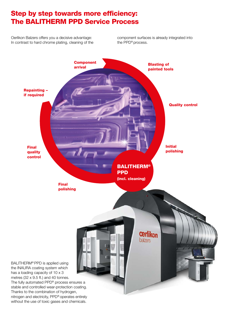## Step by step towards more efficiency: The BALITHERM PPD Service Process

Oerlikon Balzers offers you a decisive advantage: In contrast to hard chrome plating, cleaning of the component surfaces is already integrated into the PPD® process.

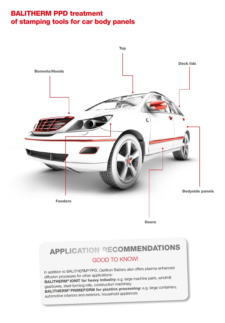# BALITHERM PPD treatment of stamping tools for car body panels



**Doors** 

# APPLICATION RECOMMENDATIONS GOOD TO KNOW!

In addition to BALITHERM® PPD, Oerlikon Balzers also offers plasma-enhanced diffusion processes for other applications: BALITHERM<sup>®</sup> IONIT for heavy industry: e.g. large machine parts, windmill gearboxes, steel-forming rolls, construction machinery BALITHERM® PRIMEFORM for plastics processing: e.g. large containers, automotive interiors and exteriors, household appliances